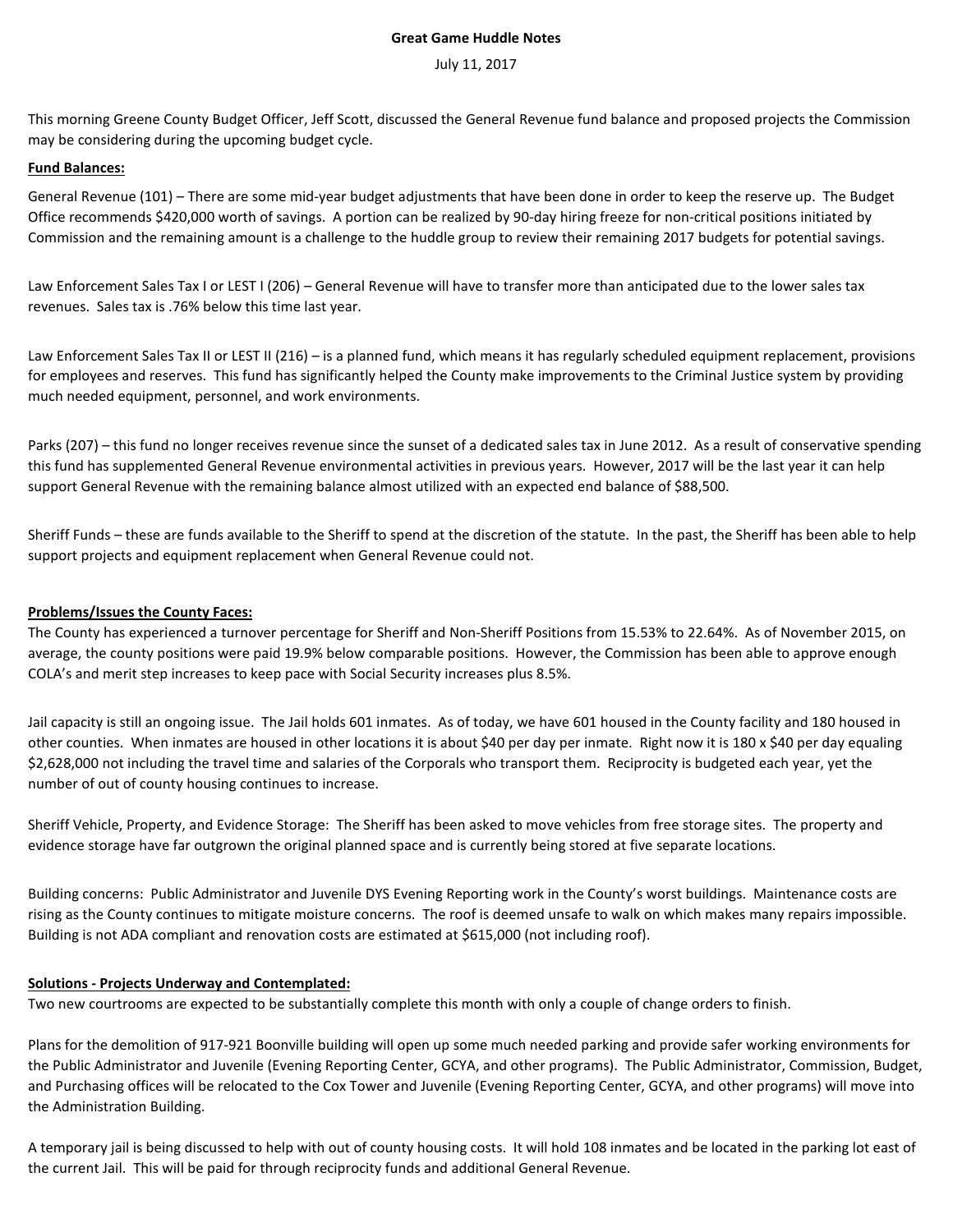## **Great Game Huddle Notes**

#### July 11, 2017

This morning Greene County Budget Officer, Jeff Scott, discussed the General Revenue fund balance and proposed projects the Commission may be considering during the upcoming budget cycle.

# **Fund Balances:**

General Revenue (101) – There are some mid-year budget adjustments that have been done in order to keep the reserve up. The Budget Office recommends \$420,000 worth of savings. A portion can be realized by 90-day hiring freeze for non-critical positions initiated by Commission and the remaining amount is a challenge to the huddle group to review their remaining 2017 budgets for potential savings.

Law Enforcement Sales Tax I or LEST I (206) – General Revenue will have to transfer more than anticipated due to the lower sales tax revenues. Sales tax is .76% below this time last year.

Law Enforcement Sales Tax II or LEST II (216) – is a planned fund, which means it has regularly scheduled equipment replacement, provisions for employees and reserves. This fund has significantly helped the County make improvements to the Criminal Justice system by providing much needed equipment, personnel, and work environments.

Parks (207) – this fund no longer receives revenue since the sunset of a dedicated sales tax in June 2012. As a result of conservative spending this fund has supplemented General Revenue environmental activities in previous years. However, 2017 will be the last year it can help support General Revenue with the remaining balance almost utilized with an expected end balance of \$88,500.

Sheriff Funds – these are funds available to the Sheriff to spend at the discretion of the statute. In the past, the Sheriff has been able to help support projects and equipment replacement when General Revenue could not.

## **Problems/Issues the County Faces:**

The County has experienced a turnover percentage for Sheriff and Non-Sheriff Positions from 15.53% to 22.64%. As of November 2015, on average, the county positions were paid 19.9% below comparable positions. However, the Commission has been able to approve enough COLA's and merit step increases to keep pace with Social Security increases plus 8.5%.

Jail capacity is still an ongoing issue. The Jail holds 601 inmates. As of today, we have 601 housed in the County facility and 180 housed in other counties. When inmates are housed in other locations it is about \$40 per day per inmate. Right now it is 180 x \$40 per day equaling \$2,628,000 not including the travel time and salaries of the Corporals who transport them. Reciprocity is budgeted each year, yet the number of out of county housing continues to increase.

Sheriff Vehicle, Property, and Evidence Storage: The Sheriff has been asked to move vehicles from free storage sites. The property and evidence storage have far outgrown the original planned space and is currently being stored at five separate locations.

Building concerns: Public Administrator and Juvenile DYS Evening Reporting work in the County's worst buildings. Maintenance costs are rising as the County continues to mitigate moisture concerns. The roof is deemed unsafe to walk on which makes many repairs impossible. Building is not ADA compliant and renovation costs are estimated at \$615,000 (not including roof).

## **Solutions - Projects Underway and Contemplated:**

Two new courtrooms are expected to be substantially complete this month with only a couple of change orders to finish.

Plans for the demolition of 917-921 Boonville building will open up some much needed parking and provide safer working environments for the Public Administrator and Juvenile (Evening Reporting Center, GCYA, and other programs). The Public Administrator, Commission, Budget, and Purchasing offices will be relocated to the Cox Tower and Juvenile (Evening Reporting Center, GCYA, and other programs) will move into the Administration Building.

A temporary jail is being discussed to help with out of county housing costs. It will hold 108 inmates and be located in the parking lot east of the current Jail. This will be paid for through reciprocity funds and additional General Revenue.